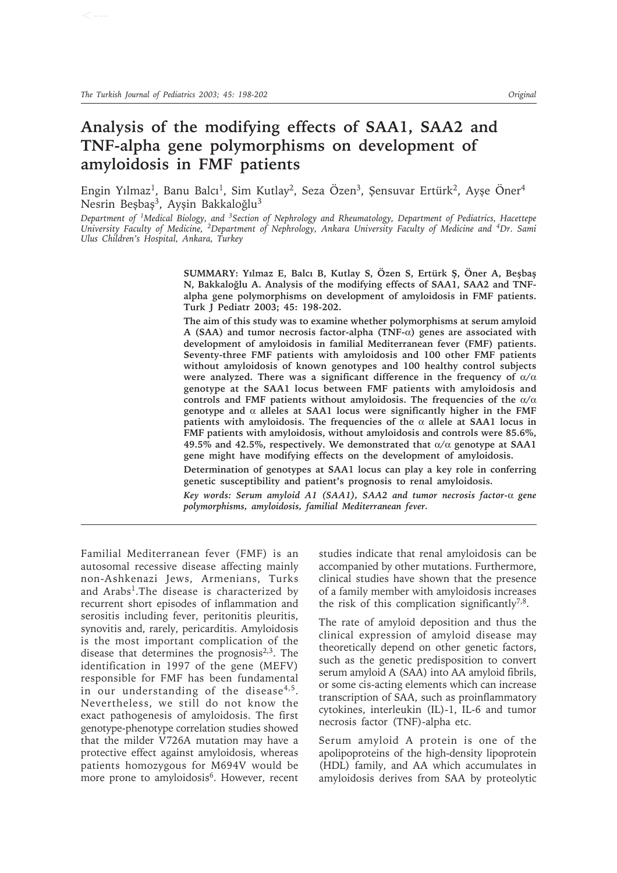# **Analysis of the modifying effects of SAA1, SAA2 and TNF-alpha gene polymorphisms on development of amyloidosis in FMF patients**

Engin Yılmaz<sup>1</sup>, Banu Balcı<sup>1</sup>, Sim Kutlay<sup>2</sup>, Seza Özen<sup>3</sup>, Şensuvar Ertürk<sup>2</sup>, Ayşe Öner<sup>4</sup> Nesrin Beşbaş<sup>3</sup>, Ayşin Bakkaloğlu<sup>3</sup>

*Department of 1Medical Biology, and 3Section of Nephrology and Rheumatology, Department of Pediatrics, Hacettepe University Faculty of Medicine, 2Department of Nephrology, Ankara University Faculty of Medicine and 4Dr. Sami Ulus Children's Hospital, Ankara, Turkey*

> SUMMARY: Yılmaz E, Balcı B, Kutlay S, Özen S, Ertürk Ş, Öner A, Beşbaş N, Bakkaloğlu A. Analysis of the modifying effects of SAA1, SAA2 and TNF**alpha gene polymorphisms on development of amyloidosis in FMF patients. Turk J Pediatr 2003; 45: 198-202.**

> **The aim of this study was to examine whether polymorphisms at serum amyloid A (SAA) and tumor necrosis factor-alpha (TNF-**α**) genes are associated with development of amyloidosis in familial Mediterranean fever (FMF) patients. Seventy-three FMF patients with amyloidosis and 100 other FMF patients without amyloidosis of known genotypes and 100 healthy control subjects were analyzed. There was a significant difference in the frequency of** α**/**α **genotype at the SAA1 locus between FMF patients with amyloidosis and controls and FMF patients without amyloidosis. The frequencies of the** α**/**α **genotype and** α **alleles at SAA1 locus were significantly higher in the FMF patients with amyloidosis. The frequencies of the**  $\alpha$  **allele at SAA1 locus in FMF patients with amyloidosis, without amyloidosis and controls were 85.6%, 49.5% and 42.5%, respectively. We demonstrated that** α**/**α **genotype at SAA1 gene might have modifying effects on the development of amyloidosis.**

> **Determination of genotypes at SAA1 locus can play a key role in conferring genetic susceptibility and patient's prognosis to renal amyloidosis.**

> *Key words: Serum amyloid A1 (SAA1), SAA2 and tumor necrosis factor-*α *gene polymorphisms, amyloidosis, familial Mediterranean fever.*

Familial Mediterranean fever (FMF) is an autosomal recessive disease affecting mainly non-Ashkenazi Jews, Armenians, Turks and Arabs<sup>1</sup>. The disease is characterized by recurrent short episodes of inflammation and serositis including fever, peritonitis pleuritis, synovitis and, rarely, pericarditis. Amyloidosis is the most important complication of the disease that determines the prognosis $2,3$ . The identification in 1997 of the gene (MEFV) responsible for FMF has been fundamental in our understanding of the disease<sup>4,5</sup>. Nevertheless, we still do not know the exact pathogenesis of amyloidosis. The first genotype-phenotype correlation studies showed that the milder V726A mutation may have a protective effect against amyloidosis, whereas patients homozygous for M694V would be more prone to amyloidosis<sup>6</sup>. However, recent studies indicate that renal amyloidosis can be accompanied by other mutations. Furthermore, clinical studies have shown that the presence of a family member with amyloidosis increases the risk of this complication significantly $7,8$ .

The rate of amyloid deposition and thus the clinical expression of amyloid disease may theoretically depend on other genetic factors, such as the genetic predisposition to convert serum amyloid A (SAA) into AA amyloid fibrils, or some cis-acting elements which can increase transcription of SAA, such as proinflammatory cytokines, interleukin (IL)-1, IL-6 and tumor necrosis factor (TNF)-alpha etc.

Serum amyloid A protein is one of the apolipoproteins of the high-density lipoprotein (HDL) family, and AA which accumulates in amyloidosis derives from SAA by proteolytic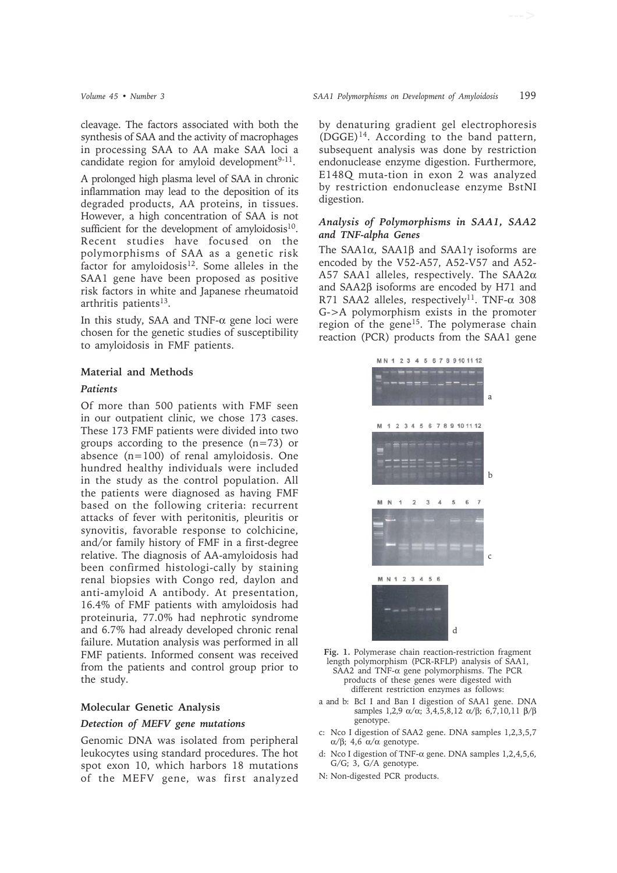cleavage. The factors associated with both the synthesis of SAA and the activity of macrophages in processing SAA to AA make SAA loci a candidate region for amyloid development $9-11$ .

A prolonged high plasma level of SAA in chronic inflammation may lead to the deposition of its degraded products, AA proteins, in tissues. However, a high concentration of SAA is not sufficient for the development of amyloidosis $10$ . Recent studies have focused on the polymorphisms of SAA as a genetic risk factor for amyloidosis $12$ . Some alleles in the SAA1 gene have been proposed as positive risk factors in white and Japanese rheumatoid arthritis patients<sup>13</sup>.

In this study, SAA and TNF- $\alpha$  gene loci were chosen for the genetic studies of susceptibility to amyloidosis in FMF patients.

#### **Material and Methods**

#### *Patients*

Of more than 500 patients with FMF seen in our outpatient clinic, we chose 173 cases. These 173 FMF patients were divided into two groups according to the presence  $(n=73)$  or absence  $(n=100)$  of renal amyloidosis. One hundred healthy individuals were included in the study as the control population. All the patients were diagnosed as having FMF based on the following criteria: recurrent attacks of fever with peritonitis, pleuritis or synovitis, favorable response to colchicine, and/or family history of FMF in a first-degree relative. The diagnosis of AA-amyloidosis had been confirmed histologi-cally by staining renal biopsies with Congo red, daylon and anti-amyloid A antibody. At presentation, 16.4% of FMF patients with amyloidosis had proteinuria, 77.0% had nephrotic syndrome and 6.7% had already developed chronic renal failure. Mutation analysis was performed in all FMF patients. Informed consent was received from the patients and control group prior to the study.

### **Molecular Genetic Analysis**

#### *Detection of MEFV gene mutations*

Genomic DNA was isolated from peripheral leukocytes using standard procedures. The hot spot exon 10, which harbors 18 mutations of the MEFV gene, was first analyzed by denaturing gradient gel electrophoresis  $(DGGE)^{14}$ . According to the band pattern, subsequent analysis was done by restriction endonuclease enzyme digestion. Furthermore, E148Q muta-tion in exon 2 was analyzed by restriction endonuclease enzyme BstNI digestion.

# *Analysis of Polymorphisms in SAA1, SAA2 and TNF-alpha Genes*

The SAA1α, SAA1β and SAA1γ isoforms are encoded by the V52-A57, A52-V57 and A52- A57 SAA1 alleles, respectively. The SAA2α and SAA2β isoforms are encoded by H71 and R71 SAA2 alleles, respectively<sup>11</sup>. TNF- $\alpha$  308 G->A polymorphism exists in the promoter region of the gene<sup>15</sup>. The polymerase chain reaction (PCR) products from the SAA1 gene



**Fig. 1.** Polymerase chain reaction-restriction fragment length polymorphism (PCR-RFLP) analysis of SAA1, SAA2 and TNF-α gene polymorphisms. The PCR

- products of these genes were digested with different restriction enzymes as follows:
- a and b: BcI I and Ban I digestion of SAA1 gene. DNA samples 1,2,9  $α/α$ ; 3,4,5,8,12  $α/β$ ; 6,7,10,11  $β/β$ genotype.
- c: Nco I digestion of SAA2 gene. DNA samples 1,2,3,5,7 α/β; 4,6 α/α genotype.
- d: Nco I digestion of TNF-α gene. DNA samples 1,2,4,5,6, G/G; 3, G/A genotype.
- N: Non-digested PCR products.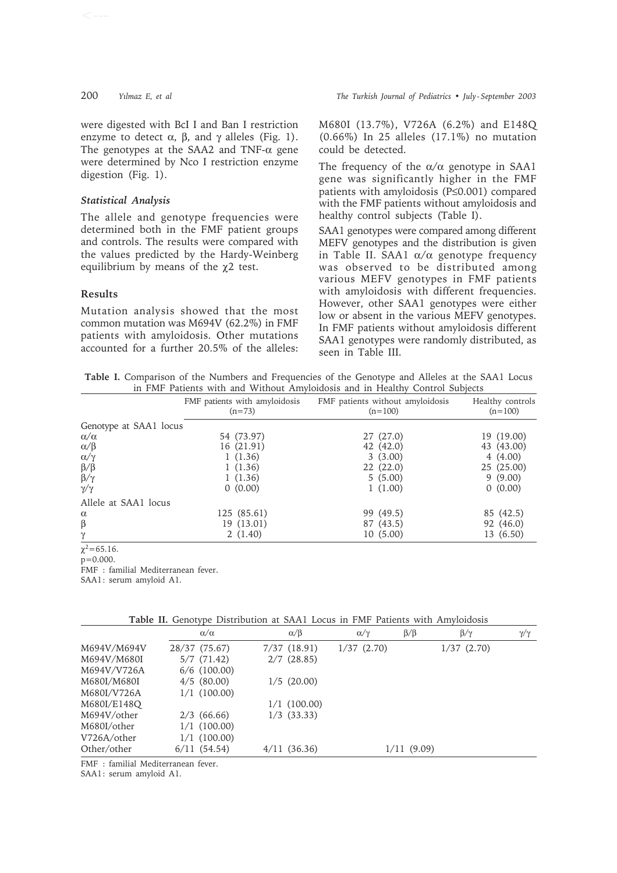were digested with BcI I and Ban I restriction enzyme to detect  $\alpha$ ,  $\beta$ , and  $\gamma$  alleles (Fig. 1). The genotypes at the SAA2 and TNF- $\alpha$  gene were determined by Nco I restriction enzyme digestion (Fig. 1).

# *Statistical Analysis*

The allele and genotype frequencies were determined both in the FMF patient groups and controls. The results were compared with the values predicted by the Hardy-Weinberg equilibrium by means of the  $\chi$ 2 test.

# **Results**

Mutation analysis showed that the most common mutation was M694V (62.2%) in FMF patients with amyloidosis. Other mutations accounted for a further 20.5% of the alleles:

M680I (13.7%), V726A (6.2%) and E148Q (0.66%) In 25 alleles (17.1%) no mutation could be detected.

The frequency of the  $\alpha/\alpha$  genotype in SAA1 gene was significantly higher in the FMF patients with amyloidosis (P≤0.001) compared with the FMF patients without amyloidosis and healthy control subjects (Table I).

SAA1 genotypes were compared among different MEFV genotypes and the distribution is given in Table II. SAA1  $\alpha/\alpha$  genotype frequency was observed to be distributed among various MEFV genotypes in FMF patients with amyloidosis with different frequencies. However, other SAA1 genotypes were either low or absent in the various MEFV genotypes. In FMF patients without amyloidosis different SAA1 genotypes were randomly distributed, as seen in Table III.

**Table I.** Comparison of the Numbers and Frequencies of the Genotype and Alleles at the SAA1 Locus in FMF Patients with and Without Amyloidosis and in Healthy Control Subjects

|                             | FMF patients with amyloidosis<br>$(n=73)$ | FMF patients without amyloidosis<br>$(n=100)$ | Healthy controls<br>$(n=100)$ |
|-----------------------------|-------------------------------------------|-----------------------------------------------|-------------------------------|
| Genotype at SAA1 locus      |                                           |                                               |                               |
| $\alpha/\alpha$             | 54 (73.97)                                | 27 (27.0)                                     | 19 (19.00)                    |
| $\alpha/\beta$              | 16 (21.91)                                | 42 (42.0)                                     | 43 (43.00)                    |
| $\alpha/\gamma$             | 1(1.36)                                   | 3(3.00)                                       | 4(4.00)                       |
|                             | 1(1.36)                                   | 22(22.0)                                      | 25 (25.00)                    |
| $\frac{\beta}{\beta}\gamma$ | 1(1.36)                                   | 5(5.00)                                       | 9(9.00)                       |
| $\gamma/\gamma$             | 0(0.00)                                   | 1(1.00)                                       | 0(0.00)                       |
| Allele at SAA1 locus        |                                           |                                               |                               |
| $\alpha$                    | 125 (85.61)                               | 99 (49.5)                                     | 85 (42.5)                     |
| $\beta$                     | 19 (13.01)                                | 87 (43.5)                                     | 92 (46.0)                     |
| γ                           | 2(1.40)                                   | 10(5.00)                                      | 13 (6.50)                     |

 $\chi^2$ =65.16.

p=0.000.

FMF : familial Mediterranean fever.

SAA1: serum amyloid A1.

|             | $\alpha/\alpha$ | $\alpha/\beta$  | $\alpha/\gamma$ | $\beta/\beta$ | $\beta/\gamma$ | $\gamma/\gamma$ |
|-------------|-----------------|-----------------|-----------------|---------------|----------------|-----------------|
| M694V/M694V | 28/37 (75.67)   | 7/37(18.91)     | 1/37(2.70)      |               | 1/37(2.70)     |                 |
| M694V/M680I | 5/7(71.42)      | 2/7(28.85)      |                 |               |                |                 |
| M694V/V726A | $6/6$ (100.00)  |                 |                 |               |                |                 |
| M680I/M680I | $4/5$ (80.00)   | 1/5(20.00)      |                 |               |                |                 |
| M680I/V726A | $1/1$ (100.00)  |                 |                 |               |                |                 |
| M680I/E148Q |                 | $1/1$ (100.00)  |                 |               |                |                 |
| M694V/other | $2/3$ (66.66)   | $1/3$ $(33.33)$ |                 |               |                |                 |
| M680I/other | $1/1$ (100.00)  |                 |                 |               |                |                 |
| V726A/other | $1/1$ (100.00)  |                 |                 |               |                |                 |
| Other/other | 6/11(54.54)     | $4/11$ (36.36)  |                 | 1/11(9.09)    |                |                 |

**Table II.** Genotype Distribution at SAA1 Locus in FMF Patients with Amyloidosis

FMF : familial Mediterranean fever.

SAA1: serum amyloid A1.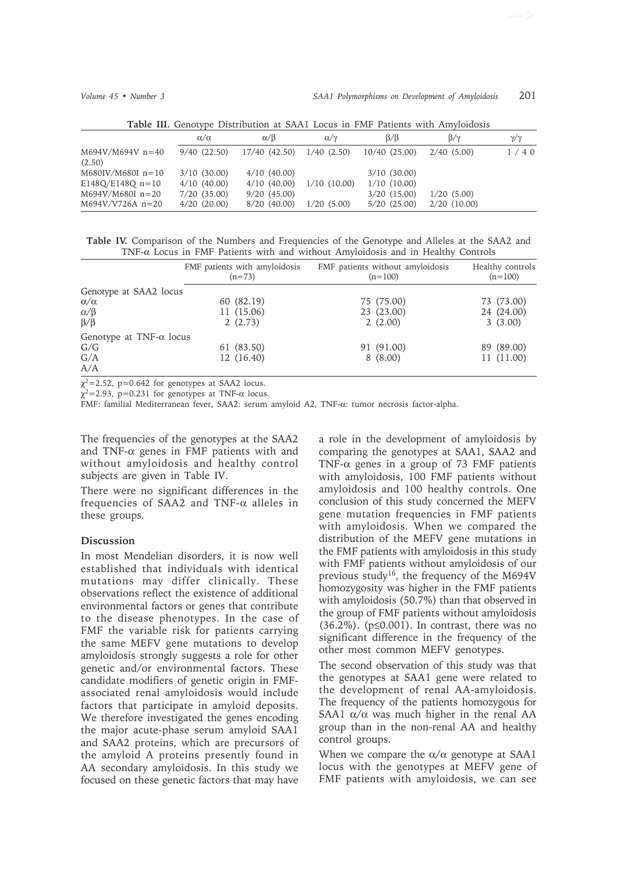| Table III. Genotype Distribution at Drutt Locus in Finit Fatients with Tunyloidosis |                                      |                            |                 |                                      |                              |                 |
|-------------------------------------------------------------------------------------|--------------------------------------|----------------------------|-----------------|--------------------------------------|------------------------------|-----------------|
|                                                                                     | $\alpha/\alpha$                      | $\alpha/\beta$             | $\alpha/\gamma$ | $\beta/\beta$                        | $\beta/\gamma$               | $\gamma/\gamma$ |
| $M694V/M694V n=40$<br>(2.50)                                                        | 9/40(22.50)                          | 17/40 (42.50)              | $1/40$ $(2.50)$ | $10/40$ $(25.00)$                    | 2/40(5.00)                   | 1/40            |
| $M680$ IV/M680I n=10<br>$E148Q/E148Q n=10$                                          | $3/10$ (30.00)<br>4/10(40.00)        | 4/10(40.00)<br>4/10(40.00) | 1/10(10.00)     | $3/10$ (30.00)<br>1/10(10.00)        |                              |                 |
| $M694V/M680I n=20$<br>$M694V/V726A n=20$                                            | $7/20$ $(35.00)$<br>$4/20$ $(20.00)$ | 9/20(45.00)<br>8/20(40.00) | 1/20(5.00)      | $3/20$ $(15.00)$<br>$5/20$ $(25.00)$ | 1/20(5.00)<br>$2/20$ (10.00) |                 |

**Table III.** Genotype Distribution at SAA1 Locus in FMF Patients with Amyloidosis

**Table IV.** Comparison of the Numbers and Frequencies of the Genotype and Alleles at the SAA2 and TNF-α Locus in FMF Patients with and without Amyloidosis and in Healthy Controls

|                                 | FMF patients with amyloidosis<br>$(n=73)$ | FMF patients without amyloidosis<br>$(n=100)$ | Healthy controls<br>$(n=100)$ |
|---------------------------------|-------------------------------------------|-----------------------------------------------|-------------------------------|
| Genotype at SAA2 locus          |                                           |                                               |                               |
| $\alpha/\alpha$                 | 60 (82.19)                                | 75 (75.00)                                    | 73 (73.00)                    |
| $\alpha/\beta$                  | 11 (15.06)                                | 23 (23.00)                                    | 24 (24.00)                    |
| $\beta/\beta$                   | 2(2.73)                                   | 2(2.00)                                       | 3(3.00)                       |
| Genotype at TNF- $\alpha$ locus |                                           |                                               |                               |
| G/G                             | 61 (83.50)                                | 91 (91.00)                                    | 89 (89.00)                    |
| G/A                             | 12 (16.40)                                | 8(8.00)                                       | 11 (11.00)                    |
| A/A                             |                                           |                                               |                               |

 $\chi^2$ =2.52, p=0.642 for genotypes at SAA2 locus.

 $\chi^2$ =2.93, p=0.231 for genotypes at TNF- $\alpha$  locus.

FMF: familial Mediterranean fever, SAA2: serum amyloid A2, TNF-α: tumor necrosis factor-alpha.

The frequencies of the genotypes at the SAA2 and TNF- $\alpha$  genes in FMF patients with and without amyloidosis and healthy control subjects are given in Table IV.

There were no significant differences in the frequencies of SAA2 and TNF-α alleles in these groups.

### **Discussion**

In most Mendelian disorders, it is now well established that individuals with identical mutations may differ clinically. These observations reflect the existence of additional environmental factors or genes that contribute to the disease phenotypes. In the case of FMF the variable risk for patients carrying the same MEFV gene mutations to develop amyloidosis strongly suggests a role for other genetic and/or environmental factors. These candidate modifiers of genetic origin in FMFassociated renal amyloidosis would include factors that participate in amyloid deposits. We therefore investigated the genes encoding the major acute-phase serum amyloid SAA1 and SAA2 proteins, which are precursors of the amyloid A proteins presently found in AA secondary amyloidosis. In this study we focused on these genetic factors that may have

a role in the development of amyloidosis by comparing the genotypes at SAA1, SAA2 and TNF- $\alpha$  genes in a group of 73 FMF patients with amyloidosis, 100 FMF patients without amyloidosis and 100 healthy controls. One conclusion of this study concerned the MEFV gene mutation frequencies in FMF patients with amyloidosis. When we compared the distribution of the MEFV gene mutations in the FMF patients with amyloidosis in this study with FMF patients without amyloidosis of our previous study<sup>16</sup>, the frequency of the M694V homozygosity was higher in the FMF patients with amyloidosis (50.7%) than that observed in the group of FMF patients without amyloidosis (36.2%). (p≤0.001). In contrast, there was no significant difference in the frequency of the other most common MEFV genotypes.

The second observation of this study was that the genotypes at SAA1 gene were related to the development of renal AA-amyloidosis. The frequency of the patients homozygous for SAA1  $\alpha/\alpha$  was much higher in the renal AA group than in the non-renal AA and healthy control groups.

When we compare the  $\alpha/\alpha$  genotype at SAA1 locus with the genotypes at MEFV gene of FMF patients with amyloidosis, we can see